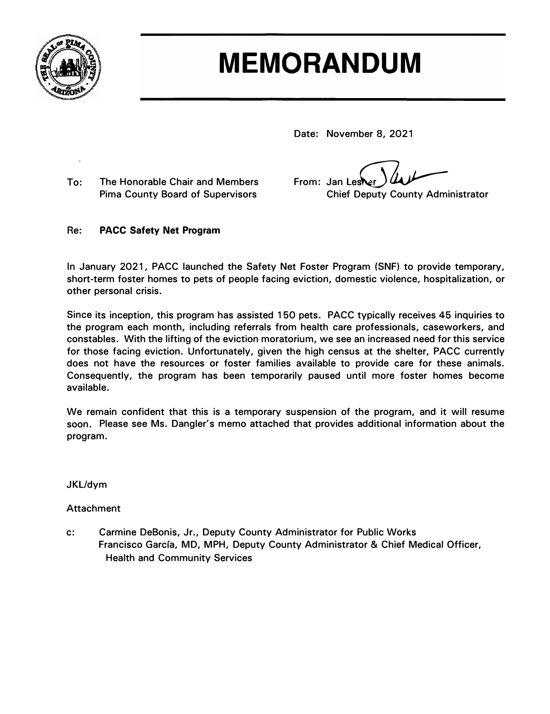

# **MEMORANDUM**

**Date: November 8, 2021** 

**To: The Honorable Chair and Members Pima County Board of Supervisors** 

**From: Jan Lest** Les**N**er *Just* 

**Chief Deputy County Administrator** 

### **Re: PACC Safety Net Program**

**In January 2021, PACC launched the Safety Net Foster Program (SNF) to provide temporary, short-term foster homes to pets of people facing eviction, domestic violence, hospitalization, or other personal crisis.** 

**Since its inception, this program has assisted 150 pets. PACC typically receives 45 inquiries to the program each month, including referrals from health care professionals, caseworkers, and constables. With the lifting of the eviction moratorium, we see an increased need for this service for those facing eviction. Unfortunately, given the high census at the shelter, PACC currently does not have the resources or foster families available to provide care for these animals. Consequently, the program has been temporarily paused until more foster homes become available.** 

**We remain confident that this is a temporary suspension of the program, and it will resume soon. Please see Ms. Dangler's memo attached that provides additional information about the program.** 

#### **JKL/dym**

## **Attachment**

**c: Carmine DeBonis, Jr., Deputy County Administrator for Public Works Francisco Garcfa, MD, MPH, Deputy County Administrator & Chief Medical Officer, Health and Community Services**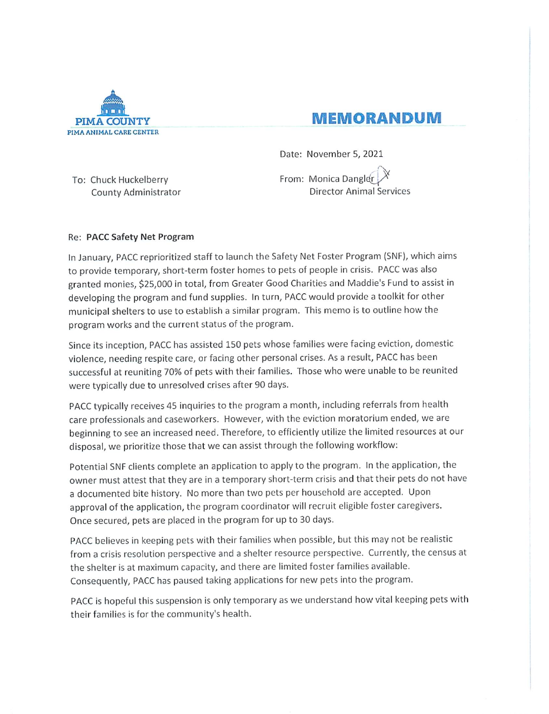

# **MEMORANDUM**

Date: November 5, 2021

To: Chuck Huckelberry County Administrator From: Monica Dangler **Director Animal Services** 

#### Re: PACC Safety Net Program

In January, PACC reprioritized staff to launch the Safety Net Foster Program (SNF), which aims to provide temporary, short-term foster homes to pets of people in crisis. PACC was also granted monies, \$25,000 in total, from Greater Good Charities and Maddie's Fund to assist in developing the program and fund supplies. In turn, PACC would provide a toolkit for other municipal shelters to use to establish a similar program. This memo is to outline how the program works and the current status of the program.

Since its inception, PACC has assisted 150 pets whose families were facing eviction, domestic violence, needing respite care, or facing other personal crises. As a result, PACC has been successful at reuniting 70% of pets with their families. Those who were unable to be reunited were typically due to unresolved crises after 90 days.

PACC typically receives 45 inquiries to the program a month, including referrals from health care professionals and caseworkers. However, with the eviction moratorium ended, we are beginning to see an increased need. Therefore, to efficiently utilize the limited resources at our disposal, we prioritize those that we can assist through the following workflow:

Potential SNF clients complete an application to apply to the program. In the application, the owner must attest that they are in a temporary short-term crisis and that their pets do not have a documented bite history. No more than two pets per household are accepted. Upon approval of the application, the program coordinator will recruit eligible foster caregivers. Once secured, pets are placed in the program for up to 30 days.

PACC believes in keeping pets with their families when possible, but this may not be realistic from a crisis resolution perspective and a shelter resource perspective. Currently, the census at the shelter is at maximum capacity, and there are limited foster families available. Consequently, PACC has paused taking applications for new pets into the program.

PACC is hopeful this suspension is only temporary as we understand how vital keeping pets with their families is for the community's health.